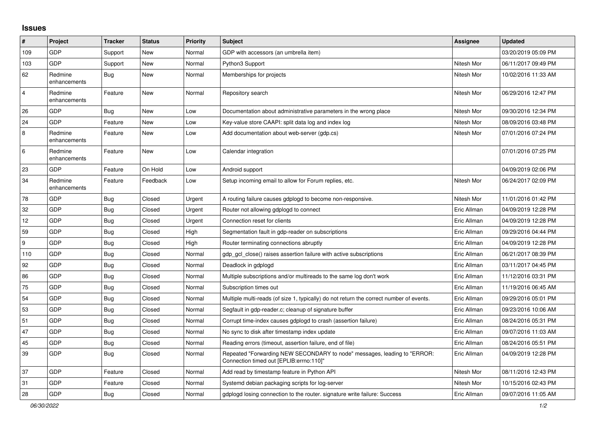## **Issues**

| #                       | Project                 | <b>Tracker</b> | <b>Status</b> | Priority | <b>Subject</b>                                                                                                      | <b>Assignee</b> | <b>Updated</b>      |
|-------------------------|-------------------------|----------------|---------------|----------|---------------------------------------------------------------------------------------------------------------------|-----------------|---------------------|
| 109                     | <b>GDP</b>              | Support        | New           | Normal   | GDP with accessors (an umbrella item)                                                                               |                 | 03/20/2019 05:09 PM |
| 103                     | GDP                     | Support        | <b>New</b>    | Normal   | Python3 Support                                                                                                     | Nitesh Mor      | 06/11/2017 09:49 PM |
| 62                      | Redmine<br>enhancements | <b>Bug</b>     | <b>New</b>    | Normal   | Memberships for projects                                                                                            | Nitesh Mor      | 10/02/2016 11:33 AM |
| $\overline{\mathbf{4}}$ | Redmine<br>enhancements | Feature        | New           | Normal   | Repository search                                                                                                   | Nitesh Mor      | 06/29/2016 12:47 PM |
| 26                      | <b>GDP</b>              | Bug            | New           | Low      | Documentation about administrative parameters in the wrong place                                                    | Nitesh Mor      | 09/30/2016 12:34 PM |
| 24                      | GDP                     | Feature        | New           | Low      | Key-value store CAAPI: split data log and index log                                                                 | Nitesh Mor      | 08/09/2016 03:48 PM |
| $\,8\,$                 | Redmine<br>enhancements | Feature        | New           | Low      | Add documentation about web-server (gdp.cs)                                                                         | Nitesh Mor      | 07/01/2016 07:24 PM |
| $\,6\,$                 | Redmine<br>enhancements | Feature        | New           | Low      | Calendar integration                                                                                                |                 | 07/01/2016 07:25 PM |
| 23                      | <b>GDP</b>              | Feature        | On Hold       | Low      | Android support                                                                                                     |                 | 04/09/2019 02:06 PM |
| 34                      | Redmine<br>enhancements | Feature        | Feedback      | Low      | Setup incoming email to allow for Forum replies, etc.                                                               | Nitesh Mor      | 06/24/2017 02:09 PM |
| 78                      | GDP                     | Bug            | Closed        | Urgent   | A routing failure causes gdplogd to become non-responsive.                                                          | Nitesh Mor      | 11/01/2016 01:42 PM |
| 32                      | GDP                     | Bug            | Closed        | Urgent   | Router not allowing gdplogd to connect                                                                              | Eric Allman     | 04/09/2019 12:28 PM |
| 12                      | GDP                     | Bug            | Closed        | Urgent   | Connection reset for clients                                                                                        | Eric Allman     | 04/09/2019 12:28 PM |
| 59                      | <b>GDP</b>              | <b>Bug</b>     | Closed        | High     | Segmentation fault in gdp-reader on subscriptions                                                                   | Eric Allman     | 09/29/2016 04:44 PM |
| $\boldsymbol{9}$        | GDP                     | <b>Bug</b>     | Closed        | High     | Router terminating connections abruptly                                                                             | Eric Allman     | 04/09/2019 12:28 PM |
| 110                     | GDP                     | Bug            | Closed        | Normal   | gdp gcl close() raises assertion failure with active subscriptions                                                  | Eric Allman     | 06/21/2017 08:39 PM |
| 92                      | GDP                     | <b>Bug</b>     | Closed        | Normal   | Deadlock in gdplogd                                                                                                 | Eric Allman     | 03/11/2017 04:45 PM |
| 86                      | <b>GDP</b>              | <b>Bug</b>     | Closed        | Normal   | Multiple subscriptions and/or multireads to the same log don't work                                                 | Eric Allman     | 11/12/2016 03:31 PM |
| 75                      | GDP                     | Bug            | Closed        | Normal   | Subscription times out                                                                                              | Eric Allman     | 11/19/2016 06:45 AM |
| 54                      | GDP                     | Bug            | Closed        | Normal   | Multiple multi-reads (of size 1, typically) do not return the correct number of events.                             | Eric Allman     | 09/29/2016 05:01 PM |
| 53                      | <b>GDP</b>              | <b>Bug</b>     | Closed        | Normal   | Segfault in gdp-reader.c; cleanup of signature buffer                                                               | Eric Allman     | 09/23/2016 10:06 AM |
| 51                      | GDP                     | <b>Bug</b>     | Closed        | Normal   | Corrupt time-index causes gdplogd to crash (assertion failure)                                                      | Eric Allman     | 08/24/2016 05:31 PM |
| 47                      | GDP                     | <b>Bug</b>     | Closed        | Normal   | No sync to disk after timestamp index update                                                                        | Eric Allman     | 09/07/2016 11:03 AM |
| 45                      | GDP                     | <b>Bug</b>     | Closed        | Normal   | Reading errors (timeout, assertion failure, end of file)                                                            | Eric Allman     | 08/24/2016 05:51 PM |
| 39                      | <b>GDP</b>              | <b>Bug</b>     | Closed        | Normal   | Repeated "Forwarding NEW SECONDARY to node" messages, leading to "ERROR:<br>Connection timed out [EPLIB:errno:110]" | Eric Allman     | 04/09/2019 12:28 PM |
| 37                      | GDP                     | Feature        | Closed        | Normal   | Add read by timestamp feature in Python API                                                                         | Nitesh Mor      | 08/11/2016 12:43 PM |
| 31                      | <b>GDP</b>              | Feature        | Closed        | Normal   | Systemd debian packaging scripts for log-server                                                                     | Nitesh Mor      | 10/15/2016 02:43 PM |
| 28                      | GDP                     | Bug            | Closed        | Normal   | gdplogd losing connection to the router, signature write failure: Success                                           | Eric Allman     | 09/07/2016 11:05 AM |